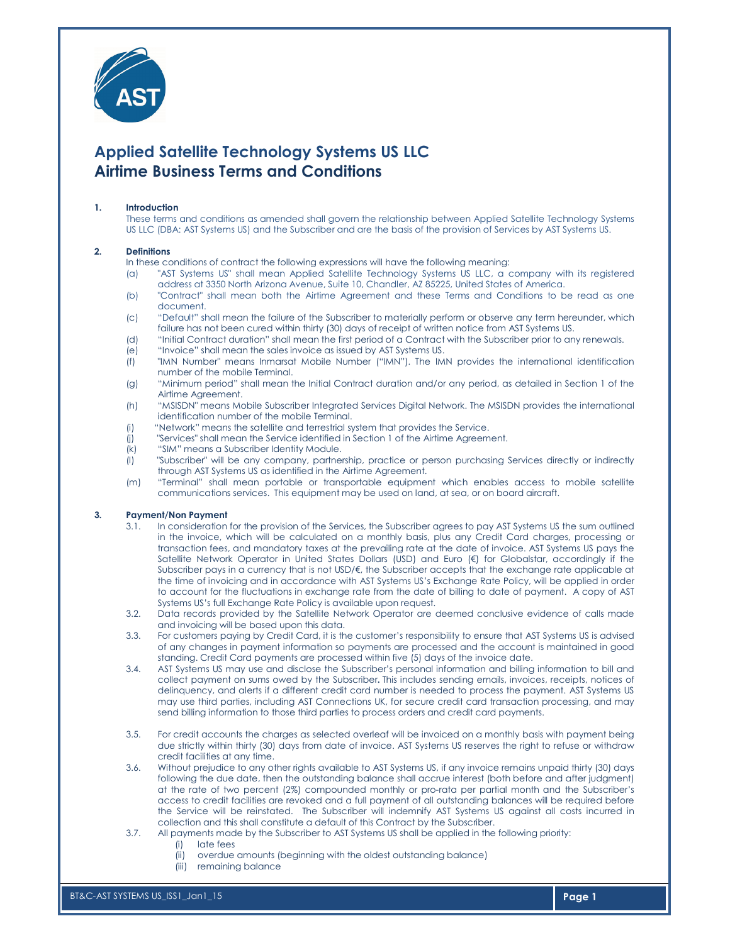

# Applied Satellite Technology Systems US LLC Airtime Business Terms and Conditions

## 1. Introduction

These terms and conditions as amended shall govern the relationship between Applied Satellite Technology Systems US LLC (DBA: AST Systems US) and the Subscriber and are the basis of the provision of Services by AST Systems US.

#### 2. Definitions

In these conditions of contract the following expressions will have the following meaning:

- (a) "AST Systems US" shall mean Applied Satellite Technology Systems US LLC, a company with its registered address at 3350 North Arizona Avenue, Suite 10, Chandler, AZ 85225, United States of America.
- (b) "Contract" shall mean both the Airtime Agreement and these Terms and Conditions to be read as one document.
- (c) "Default" shall mean the failure of the Subscriber to materially perform or observe any term hereunder, which failure has not been cured within thirty (30) days of receipt of written notice from AST Systems US.
- (d) "Initial Contract duration" shall mean the first period of a Contract with the Subscriber prior to any renewals.
- (e) "Invoice" shall mean the sales invoice as issued by AST Systems US.
- (f) "IMN Number" means Inmarsat Mobile Number ("IMN"). The IMN provides the international identification number of the mobile Terminal.
- (g) "Minimum period" shall mean the Initial Contract duration and/or any period, as detailed in Section 1 of the Airtime Agreement.
- (h) "MSISDN" means Mobile Subscriber Integrated Services Digital Network. The MSISDN provides the international identification number of the mobile Terminal.
- (i) "Network" means the satellite and terrestrial system that provides the Service.<br>(j) "Services" shall mean the Service identified in Section 1 of the Airtime Agreem
- "Services" shall mean the Service identified in Section 1 of the Airtime Agreement.
- (k) "SIM" means a Subscriber Identity Module.
- (l) "Subscriber" will be any company, partnership, practice or person purchasing Services directly or indirectly through AST Systems US as identified in the Airtime Agreement.
- (m) "Terminal" shall mean portable or transportable equipment which enables access to mobile satellite communications services. This equipment may be used on land, at sea, or on board aircraft.

#### 3. Payment/Non Payment

- 3.1. In consideration for the provision of the Services, the Subscriber agrees to pay AST Systems US the sum outlined in the invoice, which will be calculated on a monthly basis, plus any Credit Card charges, processing or transaction fees, and mandatory taxes at the prevailing rate at the date of invoice. AST Systems US pays the Satellite Network Operator in United States Dollars (USD) and Euro (€) for Globalstar, accordingly if the Subscriber pays in a currency that is not USD/€, the Subscriber accepts that the exchange rate applicable at the time of invoicing and in accordance with AST Systems US's Exchange Rate Policy, will be applied in order to account for the fluctuations in exchange rate from the date of billing to date of payment. A copy of AST Systems US's full Exchange Rate Policy is available upon request.
- 3.2. Data records provided by the Satellite Network Operator are deemed conclusive evidence of calls made and invoicing will be based upon this data.
- 3.3. For customers paying by Credit Card, it is the customer's responsibility to ensure that AST Systems US is advised of any changes in payment information so payments are processed and the account is maintained in good standing. Credit Card payments are processed within five (5) days of the invoice date.
- 3.4. AST Systems US may use and disclose the Subscriber's personal information and billing information to bill and collect payment on sums owed by the Subscriber. This includes sending emails, invoices, receipts, notices of delinquency, and alerts if a different credit card number is needed to process the payment. AST Systems US may use third parties, including AST Connections UK, for secure credit card transaction processing, and may send billing information to those third parties to process orders and credit card payments.
- 3.5. For credit accounts the charges as selected overleaf will be invoiced on a monthly basis with payment being due strictly within thirty (30) days from date of invoice. AST Systems US reserves the right to refuse or withdraw credit facilities at any time.
- 3.6. Without prejudice to any other rights available to AST Systems US, if any invoice remains unpaid thirty (30) days following the due date, then the outstanding balance shall accrue interest (both before and after judgment) at the rate of two percent (2%) compounded monthly or pro-rata per partial month and the Subscriber's access to credit facilities are revoked and a full payment of all outstanding balances will be required before the Service will be reinstated. The Subscriber will indemnify AST Systems US against all costs incurred in collection and this shall constitute a default of this Contract by the Subscriber.
- 3.7. All payments made by the Subscriber to AST Systems US shall be applied in the following priority:
	- (i) late fees
	- (ii) overdue amounts (beginning with the oldest outstanding balance)
	- (iii) remaining balance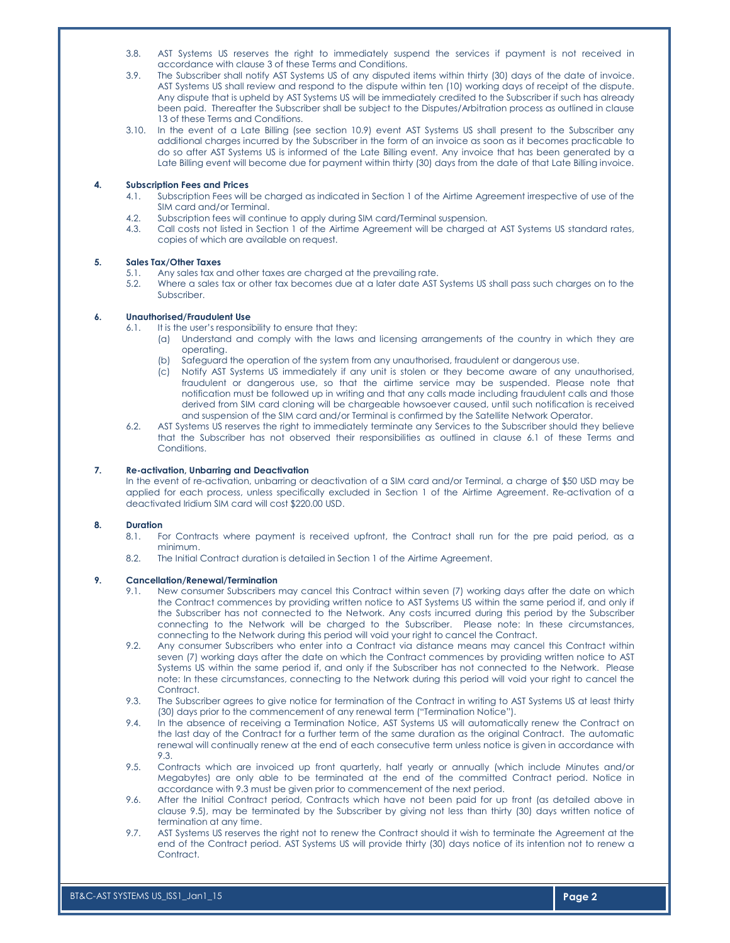- 3.8. AST Systems US reserves the right to immediately suspend the services if payment is not received in accordance with clause 3 of these Terms and Conditions.
- 3.9. The Subscriber shall notify AST Systems US of any disputed items within thirty (30) days of the date of invoice. AST Systems US shall review and respond to the dispute within ten (10) working days of receipt of the dispute. Any dispute that is upheld by AST Systems US will be immediately credited to the Subscriber if such has already been paid. Thereafter the Subscriber shall be subject to the Disputes/Arbitration process as outlined in clause 13 of these Terms and Conditions.
- 3.10. In the event of a Late Billing (see section 10.9) event AST Systems US shall present to the Subscriber any additional charges incurred by the Subscriber in the form of an invoice as soon as it becomes practicable to do so after AST Systems US is informed of the Late Billing event. Any invoice that has been generated by a Late Billing event will become due for payment within thirty (30) days from the date of that Late Billing invoice.

# 4. Subscription Fees and Prices

- 4.1. Subscription Fees will be charged as indicated in Section 1 of the Airtime Agreement irrespective of use of the SIM card and/or Terminal.
- 4.2. Subscription fees will continue to apply during SIM card/Terminal suspension.
- 4.3. Call costs not listed in Section 1 of the Airtime Agreement will be charged at AST Systems US standard rates, copies of which are available on request.

#### 5. Sales Tax/Other Taxes

- 5.1. Any sales tax and other taxes are charged at the prevailing rate.
- 5.2. Where a sales tax or other tax becomes due at a later date AST Systems US shall pass such charges on to the Subscriber.

#### 6. Unauthorised/Fraudulent Use

- 6.1. It is the user's responsibility to ensure that they:
	- (a) Understand and comply with the laws and licensing arrangements of the country in which they are operating.
	- (b) Safeguard the operation of the system from any unauthorised, fraudulent or dangerous use.
	- (c) Notify AST Systems US immediately if any unit is stolen or they become aware of any unauthorised, fraudulent or dangerous use, so that the airtime service may be suspended. Please note that notification must be followed up in writing and that any calls made including fraudulent calls and those derived from SIM card cloning will be chargeable howsoever caused, until such notification is received and suspension of the SIM card and/or Terminal is confirmed by the Satellite Network Operator.
- 6.2. AST Systems US reserves the right to immediately terminate any Services to the Subscriber should they believe that the Subscriber has not observed their responsibilities as outlined in clause 6.1 of these Terms and Conditions.

## 7. Re-activation, Unbarring and Deactivation

In the event of re-activation, unbarring or deactivation of a SIM card and/or Terminal, a charge of \$50 USD may be applied for each process, unless specifically excluded in Section 1 of the Airtime Agreement. Re-activation of a deactivated Iridium SIM card will cost \$220.00 USD.

# 8. Duration

- 8.1. For Contracts where payment is received upfront, the Contract shall run for the pre paid period, as a minimum.
- 8.2. The Initial Contract duration is detailed in Section 1 of the Airtime Agreement.

# 9. Cancellation/Renewal/Termination

- 9.1. New consumer Subscribers may cancel this Contract within seven (7) working days after the date on which the Contract commences by providing written notice to AST Systems US within the same period if, and only if the Subscriber has not connected to the Network. Any costs incurred during this period by the Subscriber connecting to the Network will be charged to the Subscriber. Please note: In these circumstances, connecting to the Network during this period will void your right to cancel the Contract.
- 9.2. Any consumer Subscribers who enter into a Contract via distance means may cancel this Contract within seven (7) working days after the date on which the Contract commences by providing written notice to AST Systems US within the same period if, and only if the Subscriber has not connected to the Network. Please note: In these circumstances, connecting to the Network during this period will void your right to cancel the Contract.
- 9.3. The Subscriber agrees to give notice for termination of the Contract in writing to AST Systems US at least thirty (30) days prior to the commencement of any renewal term ("Termination Notice").
- 9.4. In the absence of receiving a Termination Notice, AST Systems US will automatically renew the Contract on the last day of the Contract for a further term of the same duration as the original Contract. The automatic renewal will continually renew at the end of each consecutive term unless notice is given in accordance with 9.3.
- 9.5. Contracts which are invoiced up front quarterly, half yearly or annually (which include Minutes and/or Megabytes) are only able to be terminated at the end of the committed Contract period. Notice in accordance with 9.3 must be given prior to commencement of the next period.
- 9.6. After the Initial Contract period, Contracts which have not been paid for up front (as detailed above in clause 9.5), may be terminated by the Subscriber by giving not less than thirty (30) days written notice of termination at any time.
- 9.7. AST Systems US reserves the right not to renew the Contract should it wish to terminate the Agreement at the end of the Contract period. AST Systems US will provide thirty (30) days notice of its intention not to renew a Contract.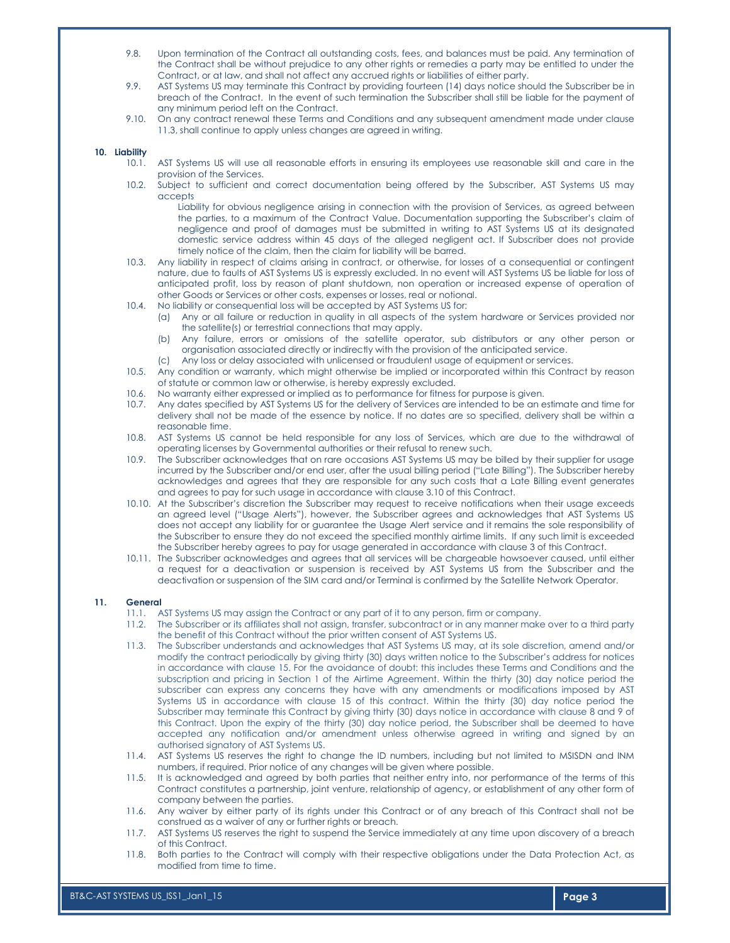- 9.8. Upon termination of the Contract all outstanding costs, fees, and balances must be paid. Any termination of the Contract shall be without prejudice to any other rights or remedies a party may be entitled to under the Contract, or at law, and shall not affect any accrued rights or liabilities of either party.
- 9.9. AST Systems US may terminate this Contract by providing fourteen (14) days notice should the Subscriber be in breach of the Contract. In the event of such termination the Subscriber shall still be liable for the payment of any minimum period left on the Contract.
- 9.10. On any contract renewal these Terms and Conditions and any subsequent amendment made under clause 11.3, shall continue to apply unless changes are agreed in writing.

# 10. Liability  $10.1$ .

- AST Systems US will use all reasonable efforts in ensuring its employees use reasonable skill and care in the provision of the Services.
- 10.2. Subject to sufficient and correct documentation being offered by the Subscriber, AST Systems US may accepts
	- Liability for obvious negligence arising in connection with the provision of Services, as agreed between the parties, to a maximum of the Contract Value. Documentation supporting the Subscriber's claim of negligence and proof of damages must be submitted in writing to AST Systems US at its designated domestic service address within 45 days of the alleged negligent act. If Subscriber does not provide timely notice of the claim, then the claim for liability will be barred.
- 10.3. Any liability in respect of claims arising in contract, or otherwise, for losses of a consequential or contingent nature, due to faults of AST Systems US is expressly excluded. In no event will AST Systems US be liable for loss of anticipated profit, loss by reason of plant shutdown, non operation or increased expense of operation of other Goods or Services or other costs, expenses or losses, real or notional.
- 10.4. No liability or consequential loss will be accepted by AST Systems US for:
	- (a) Any or all failure or reduction in quality in all aspects of the system hardware or Services provided nor the satellite(s) or terrestrial connections that may apply.
	- (b) Any failure, errors or omissions of the satellite operator, sub distributors or any other person or organisation associated directly or indirectly with the provision of the anticipated service.
	- (c) Any loss or delay associated with unlicensed or fraudulent usage of equipment or services.
- 10.5. Any condition or warranty, which might otherwise be implied or incorporated within this Contract by reason of statute or common law or otherwise, is hereby expressly excluded.
- 10.6. No warranty either expressed or implied as to performance for fitness for purpose is given.
- 10.7. Any dates specified by AST Systems US for the delivery of Services are intended to be an estimate and time for delivery shall not be made of the essence by notice. If no dates are so specified, delivery shall be within a reasonable time.
- 10.8. AST Systems US cannot be held responsible for any loss of Services, which are due to the withdrawal of operating licenses by Governmental authorities or their refusal to renew such.
- 10.9. The Subscriber acknowledges that on rare occasions AST Systems US may be billed by their supplier for usage incurred by the Subscriber and/or end user, after the usual billing period ("Late Billing"). The Subscriber hereby acknowledges and agrees that they are responsible for any such costs that a Late Billing event generates and agrees to pay for such usage in accordance with clause 3.10 of this Contract.
- 10.10. At the Subscriber's discretion the Subscriber may request to receive notifications when their usage exceeds an agreed level ("Usage Alerts"), however, the Subscriber agrees and acknowledges that AST Systems US does not accept any liability for or guarantee the Usage Alert service and it remains the sole responsibility of the Subscriber to ensure they do not exceed the specified monthly airtime limits. If any such limit is exceeded the Subscriber hereby agrees to pay for usage generated in accordance with clause 3 of this Contract.
- 10.11. The Subscriber acknowledges and agrees that all services will be chargeable howsoever caused, until either a request for a deactivation or suspension is received by AST Systems US from the Subscriber and the deactivation or suspension of the SIM card and/or Terminal is confirmed by the Satellite Network Operator.

#### 11. General

- 11.1. AST Systems US may assign the Contract or any part of it to any person, firm or company.
- 11.2. The Subscriber or its affiliates shall not assign, transfer, subcontract or in any manner make over to a third party the benefit of this Contract without the prior written consent of AST Systems US.
- 11.3. The Subscriber understands and acknowledges that AST Systems US may, at its sole discretion, amend and/or modify the contract periodically by giving thirty (30) days written notice to the Subscriber's address for notices in accordance with clause 15. For the avoidance of doubt: this includes these Terms and Conditions and the subscription and pricing in Section 1 of the Airtime Agreement. Within the thirty (30) day notice period the subscriber can express any concerns they have with any amendments or modifications imposed by AST Systems US in accordance with clause 15 of this contract. Within the thirty (30) day notice period the Subscriber may terminate this Contract by giving thirty (30) days notice in accordance with clause 8 and 9 of this Contract. Upon the expiry of the thirty (30) day notice period, the Subscriber shall be deemed to have accepted any notification and/or amendment unless otherwise agreed in writing and signed by an authorised signatory of AST Systems US.
- 11.4. AST Systems US reserves the right to change the ID numbers, including but not limited to MSISDN and INM numbers, if required. Prior notice of any changes will be given where possible.
- 11.5. It is acknowledged and agreed by both parties that neither entry into, nor performance of the terms of this Contract constitutes a partnership, joint venture, relationship of agency, or establishment of any other form of company between the parties.
- 11.6. Any waiver by either party of its rights under this Contract or of any breach of this Contract shall not be construed as a waiver of any or further rights or breach.
- 11.7. AST Systems US reserves the right to suspend the Service immediately at any time upon discovery of a breach of this Contract.
- 11.8. Both parties to the Contract will comply with their respective obligations under the Data Protection Act, as modified from time to time.